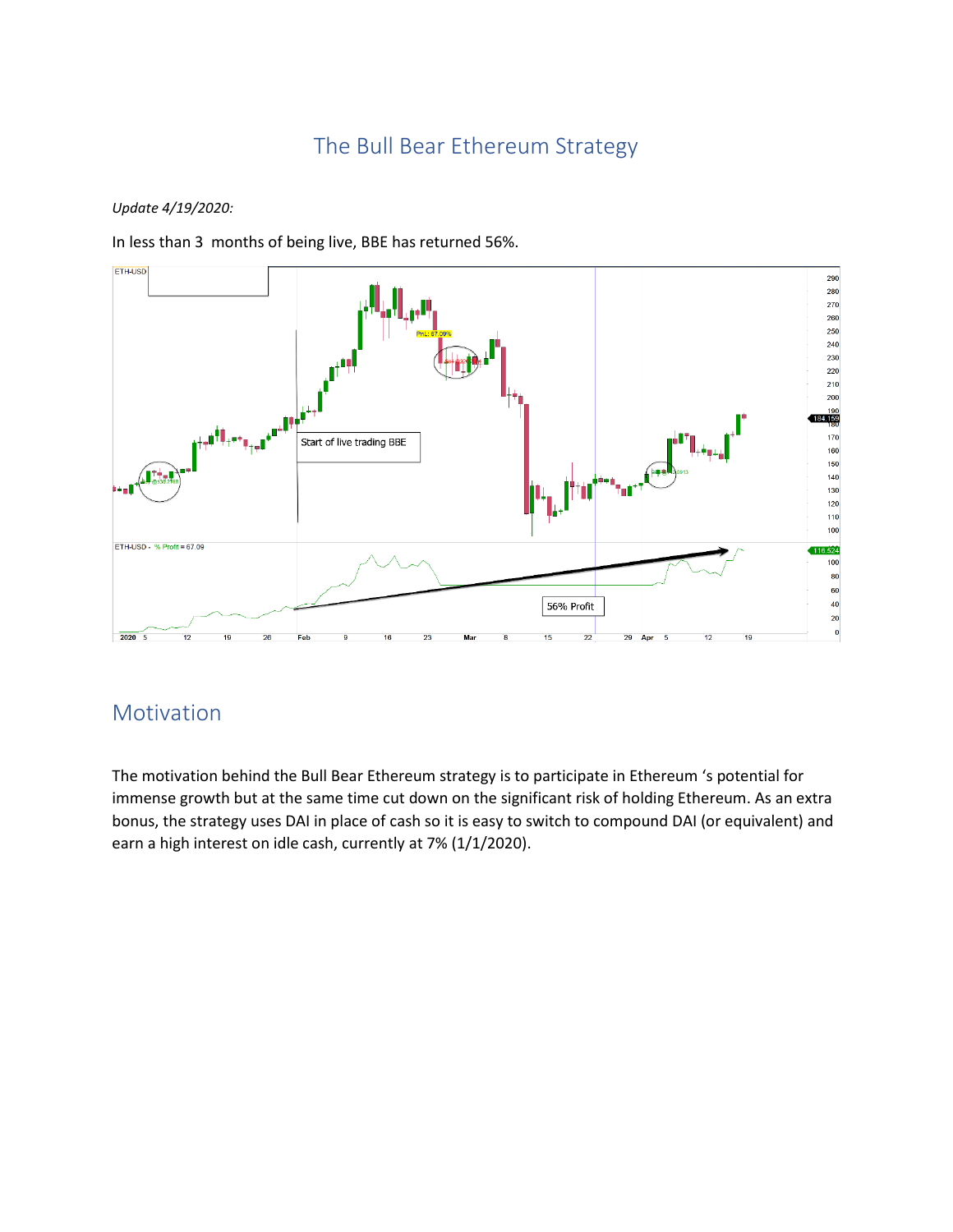# The Bull Bear Ethereum Strategy

#### *Update 4/19/2020:*

In less than 3 months of being live, BBE has returned 56%.



## Motivation

The motivation behind the Bull Bear Ethereum strategy is to participate in Ethereum 's potential for immense growth but at the same time cut down on the significant risk of holding Ethereum. As an extra bonus, the strategy uses DAI in place of cash so it is easy to switch to compound DAI (or equivalent) and earn a high interest on idle cash, currently at 7% (1/1/2020).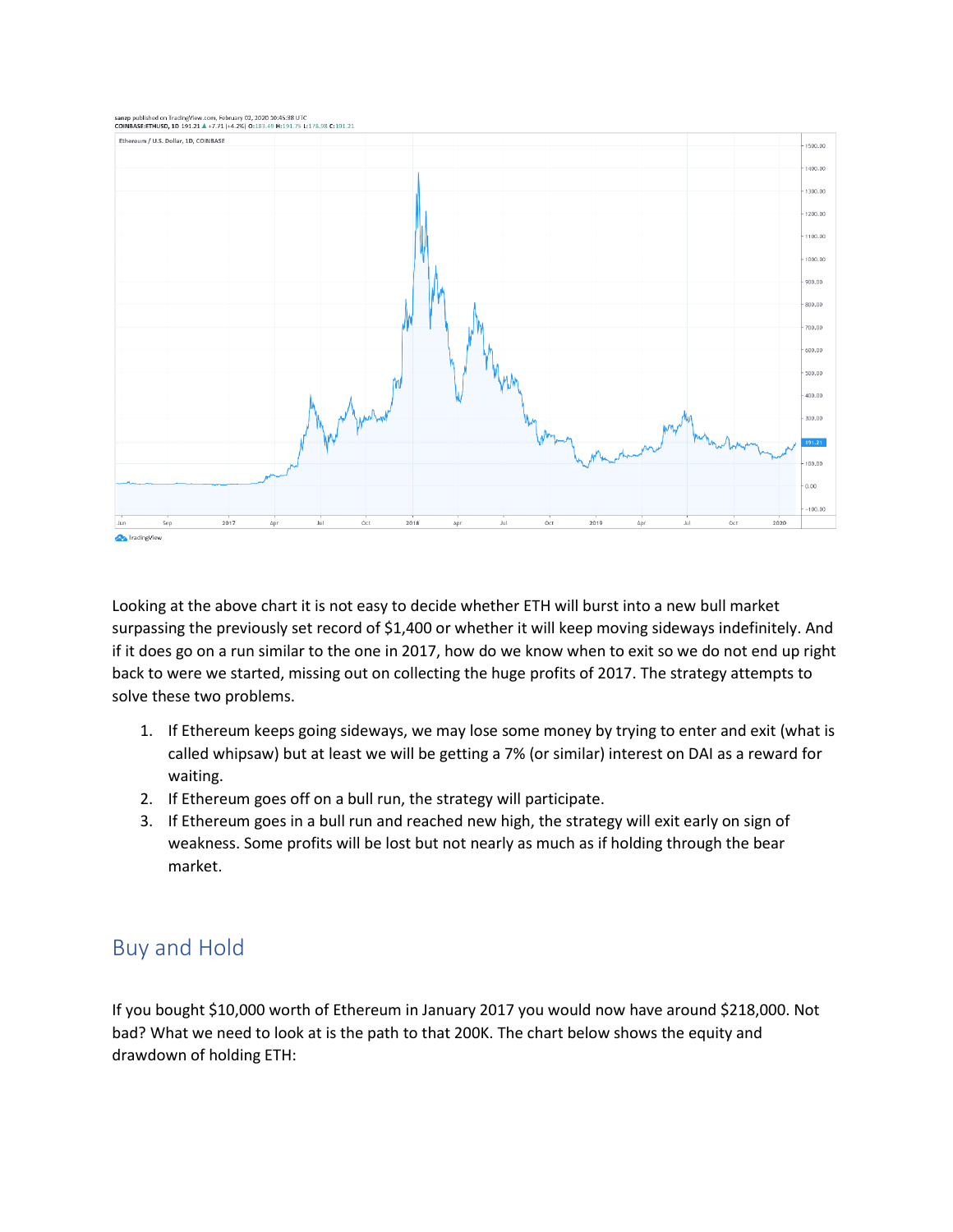

Looking at the above chart it is not easy to decide whether ETH will burst into a new bull market surpassing the previously set record of \$1,400 or whether it will keep moving sideways indefinitely. And if it does go on a run similar to the one in 2017, how do we know when to exit so we do not end up right back to were we started, missing out on collecting the huge profits of 2017. The strategy attempts to solve these two problems.

- 1. If Ethereum keeps going sideways, we may lose some money by trying to enter and exit (what is called whipsaw) but at least we will be getting a 7% (or similar) interest on DAI as a reward for waiting.
- 2. If Ethereum goes off on a bull run, the strategy will participate.
- 3. If Ethereum goes in a bull run and reached new high, the strategy will exit early on sign of weakness. Some profits will be lost but not nearly as much as if holding through the bear market.

## Buy and Hold

If you bought \$10,000 worth of Ethereum in January 2017 you would now have around \$218,000. Not bad? What we need to look at is the path to that 200K. The chart below shows the equity and drawdown of holding ETH: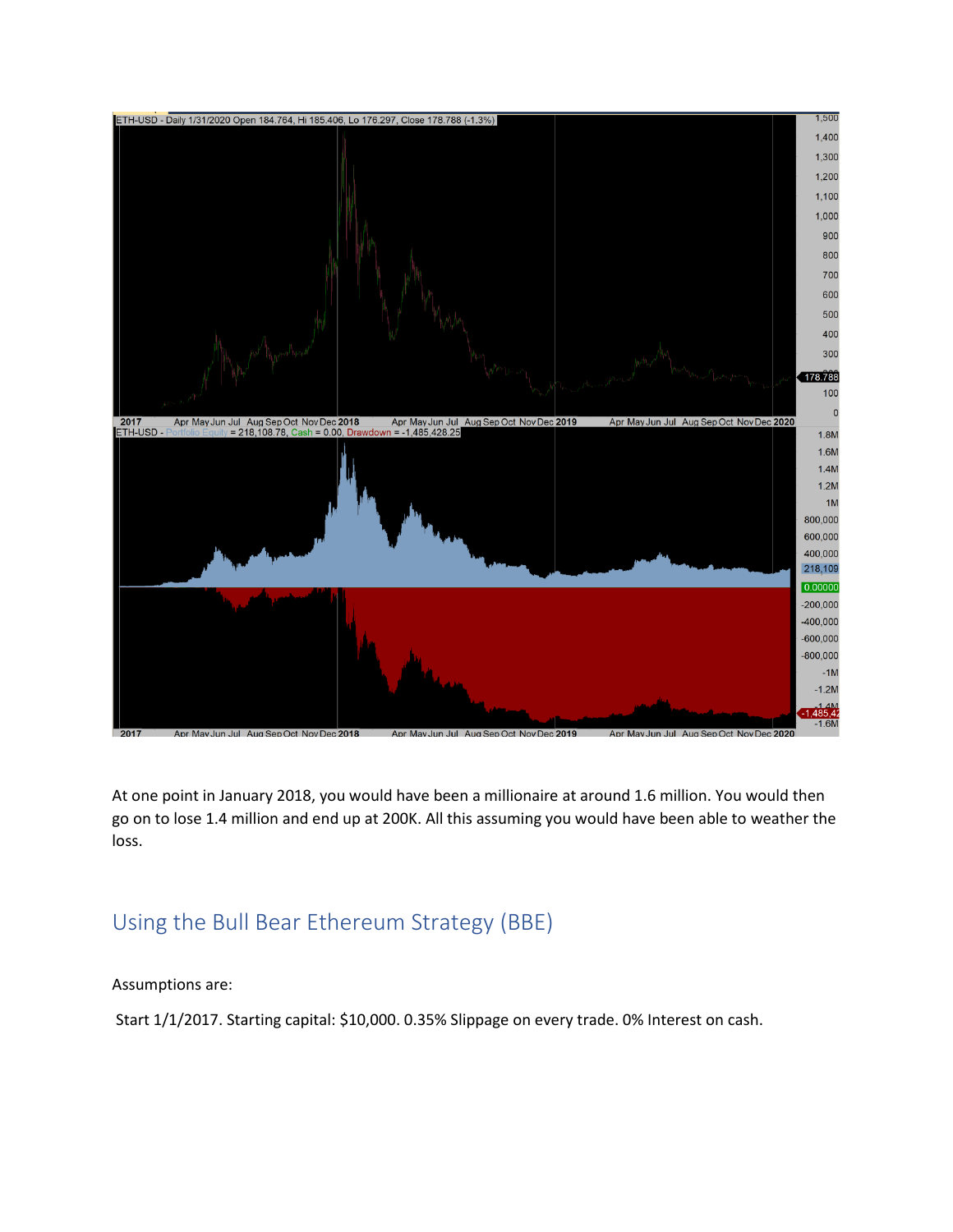

At one point in January 2018, you would have been a millionaire at around 1.6 million. You would then go on to lose 1.4 million and end up at 200K. All this assuming you would have been able to weather the loss.

## Using the Bull Bear Ethereum Strategy (BBE)

Assumptions are:

Start 1/1/2017. Starting capital: \$10,000. 0.35% Slippage on every trade. 0% Interest on cash.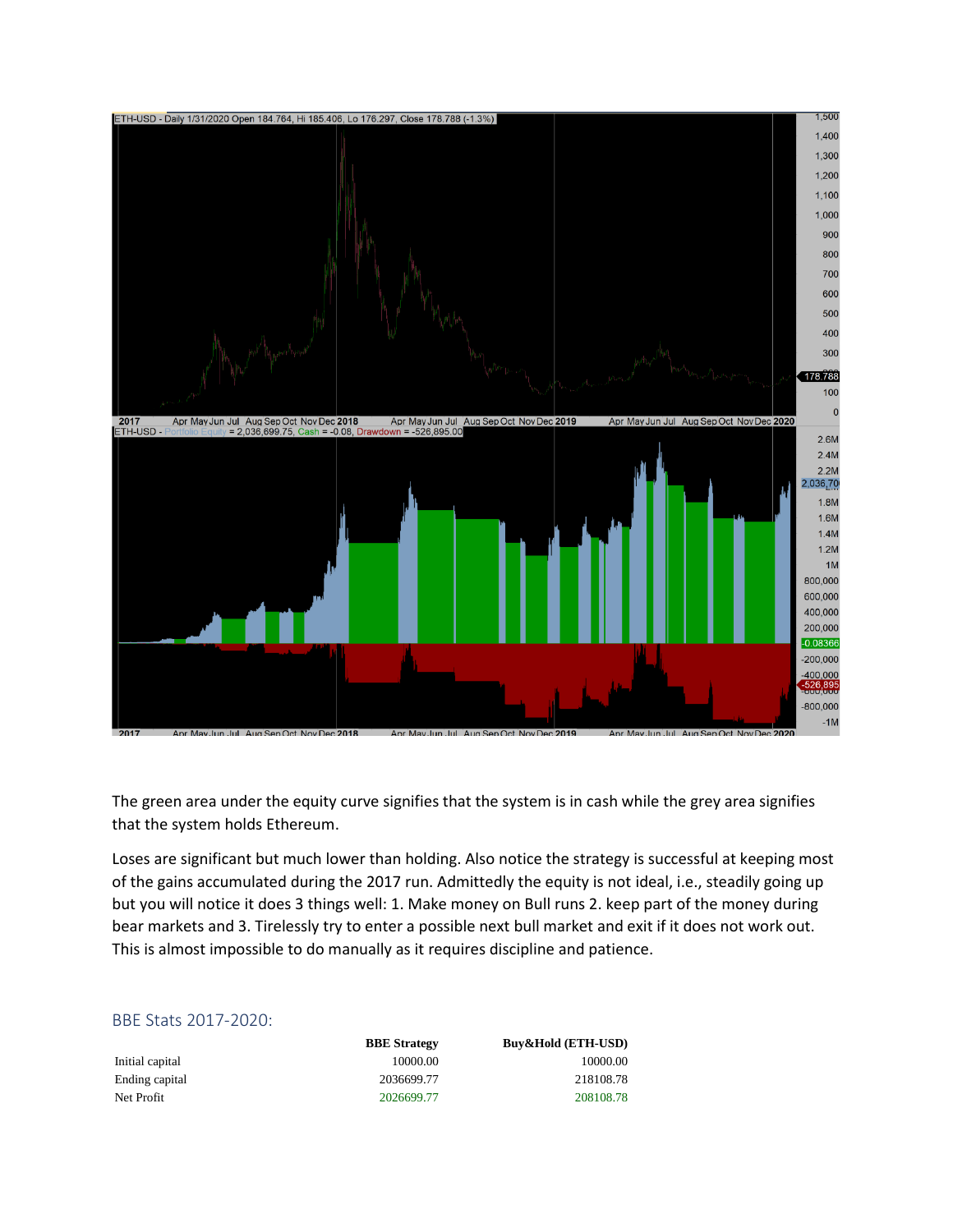

The green area under the equity curve signifies that the system is in cash while the grey area signifies that the system holds Ethereum.

Loses are significant but much lower than holding. Also notice the strategy is successful at keeping most of the gains accumulated during the 2017 run. Admittedly the equity is not ideal, i.e., steadily going up but you will notice it does 3 things well: 1. Make money on Bull runs 2. keep part of the money during bear markets and 3. Tirelessly try to enter a possible next bull market and exit if it does not work out. This is almost impossible to do manually as it requires discipline and patience.

#### BBE Stats 2017-2020:

**BBE Strategy Buy&Hold (ETH-USD)** Initial capital 10000.00 10000.00 10000.00 Ending capital 2036699.77 218108.78 Net Profit 2026699.77 208108.78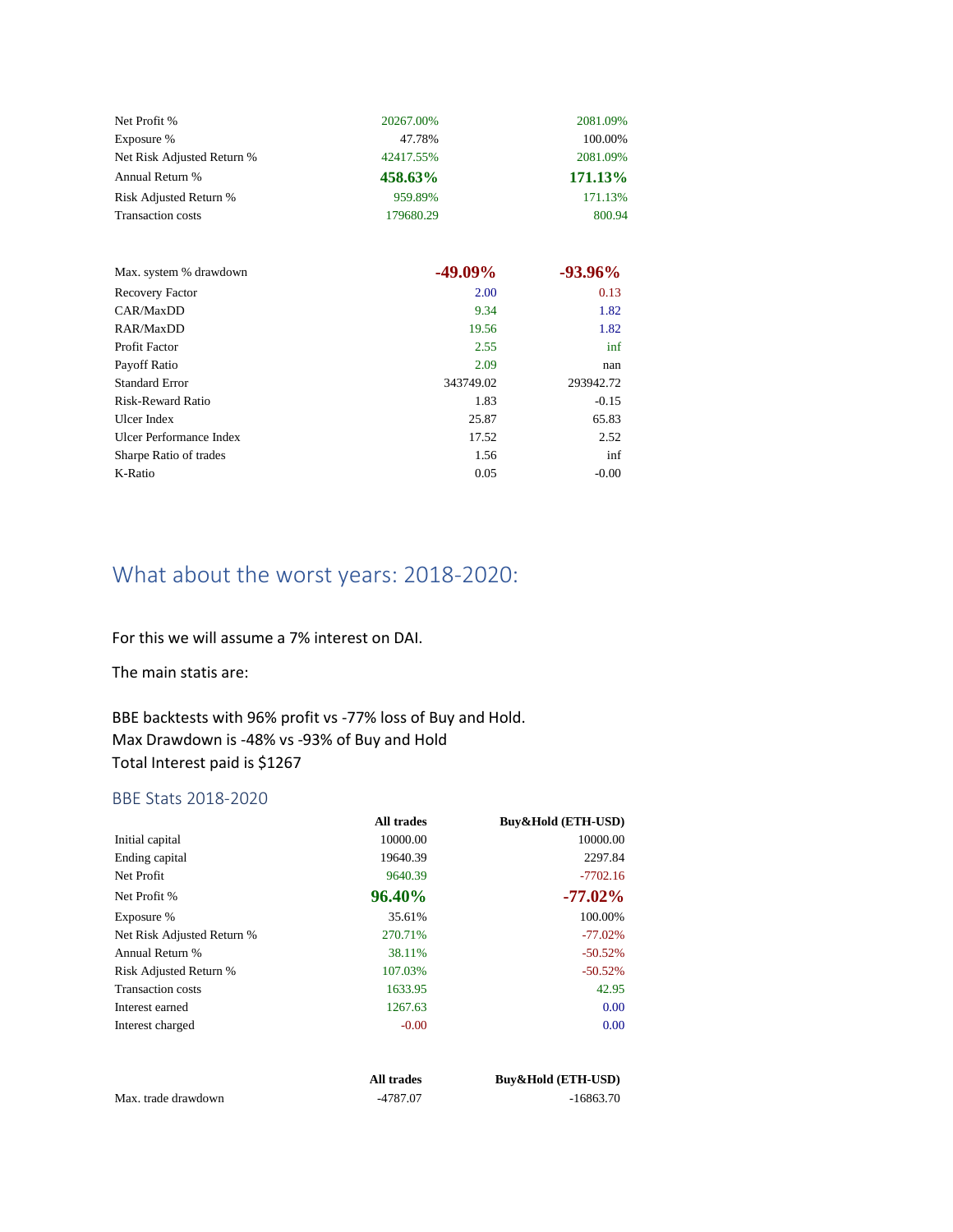| Net Profit %               | 20267.00% | 2081.09%       |
|----------------------------|-----------|----------------|
| Exposure %                 | 47.78%    | 100.00%        |
| Net Risk Adjusted Return % | 42417.55% | 2081.09%       |
| Annual Return %            | 458.63%   | <b>171.13%</b> |
| Risk Adjusted Return %     | 959.89%   | 171.13%        |
| <b>Transaction costs</b>   | 179680.29 | 800.94         |

| Max. system % drawdown   | $-49.09\%$ | $-93.96\%$ |
|--------------------------|------------|------------|
| Recovery Factor          | 2.00       | 0.13       |
| CAR/MaxDD                | 9.34       | 1.82       |
| RAR/MaxDD                | 19.56      | 1.82       |
| Profit Factor            | 2.55       | inf        |
| Payoff Ratio             | 2.09       | nan        |
| <b>Standard Error</b>    | 343749.02  | 293942.72  |
| <b>Risk-Reward Ratio</b> | 1.83       | $-0.15$    |
| Ulcer Index              | 25.87      | 65.83      |
| Ulcer Performance Index  | 17.52      | 2.52       |
| Sharpe Ratio of trades   | 1.56       | inf        |
| K-Ratio                  | 0.05       | $-0.00$    |

# What about the worst years: 2018-2020:

For this we will assume a 7% interest on DAI.

The main statis are:

BBE backtests with 96% profit vs -77% loss of Buy and Hold. Max Drawdown is -48% vs -93% of Buy and Hold Total Interest paid is \$1267

#### BBE Stats 2018-2020

|                            | All trades | Buy&Hold (ETH-USD) |
|----------------------------|------------|--------------------|
| Initial capital            | 10000.00   | 10000.00           |
| Ending capital             | 19640.39   | 2297.84            |
| Net Profit                 | 9640.39    | $-7702.16$         |
| Net Profit %               | 96.40%     | $-77.02\%$         |
| Exposure %                 | 35.61%     | 100.00%            |
| Net Risk Adjusted Return % | 270.71%    | $-77.02%$          |
| Annual Return %            | 38.11%     | $-50.52%$          |
| Risk Adjusted Return %     | 107.03%    | $-50.52%$          |
| <b>Transaction costs</b>   | 1633.95    | 42.95              |
| Interest earned            | 1267.63    | 0.00               |
| Interest charged           | $-0.00$    | 0.00               |
|                            | All trades | Buy&Hold (ETH-USD) |
| Max. trade drawdown        | -4787.07   | $-16863.70$        |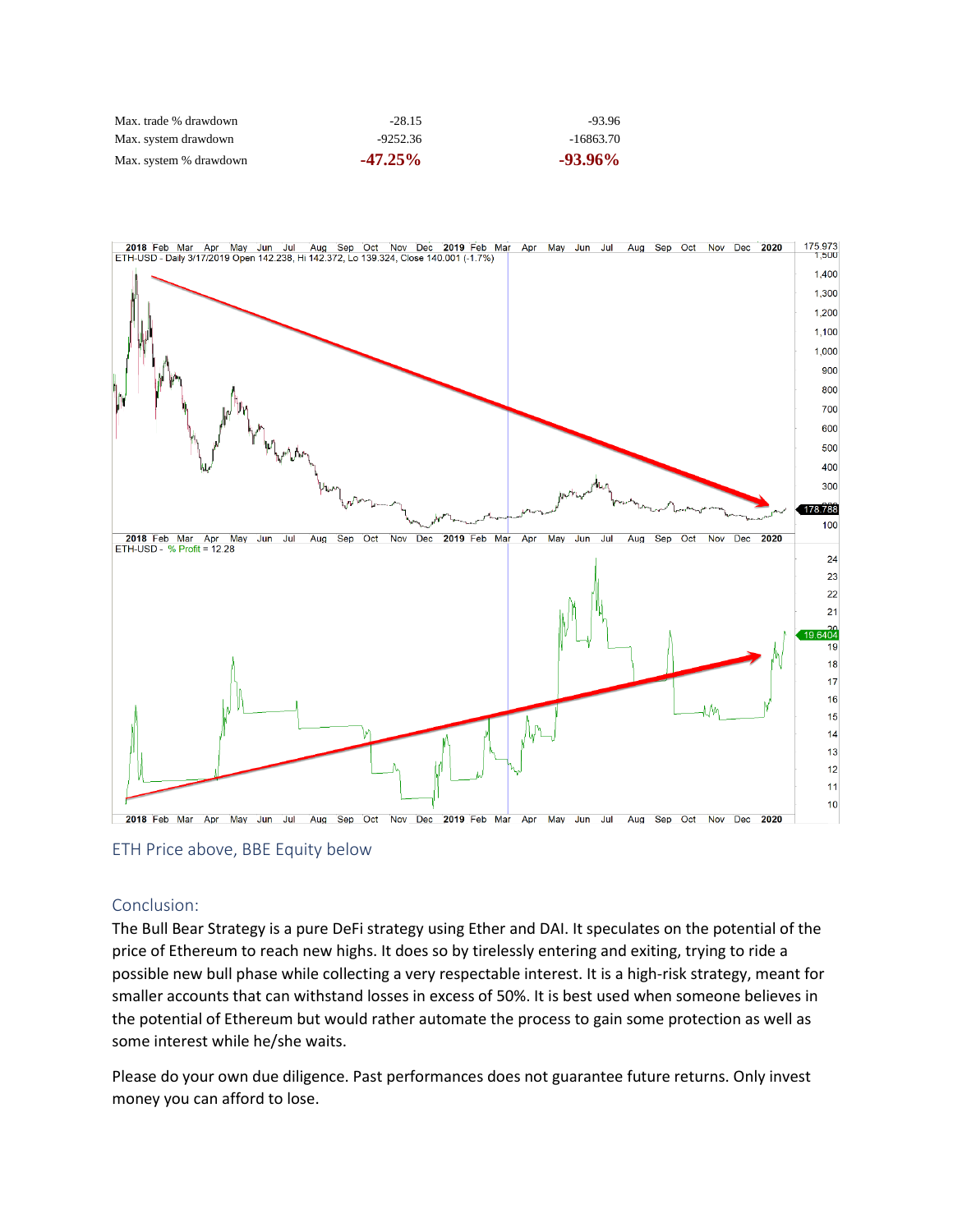| Max. trade % drawdown  | $-28.15$   | $-93.96$    |
|------------------------|------------|-------------|
| Max. system drawdown   | $-9252.36$ | $-16863.70$ |
| Max. system % drawdown | $-47.25\%$ | $-93.96\%$  |



ETH Price above, BBE Equity below

#### Conclusion:

The Bull Bear Strategy is a pure DeFi strategy using Ether and DAI. It speculates on the potential of the price of Ethereum to reach new highs. It does so by tirelessly entering and exiting, trying to ride a possible new bull phase while collecting a very respectable interest. It is a high-risk strategy, meant for smaller accounts that can withstand losses in excess of 50%. It is best used when someone believes in the potential of Ethereum but would rather automate the process to gain some protection as well as some interest while he/she waits.

Please do your own due diligence. Past performances does not guarantee future returns. Only invest money you can afford to lose.